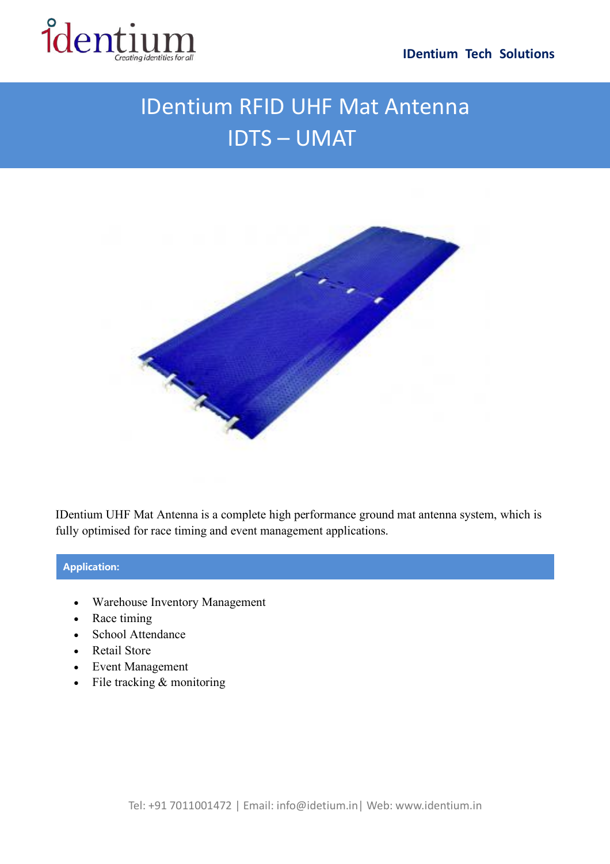



## IDentium RFID UHF Mat Antenna IDTS – UMAT



IDentium UHF Mat Antenna is a complete high performance ground mat antenna system, which is fully optimised for race timing and event management applications.

## **Application:**

- Warehouse Inventory Management
- Race timing
- School Attendance
- Retail Store
- Event Management
- File tracking  $&$  monitoring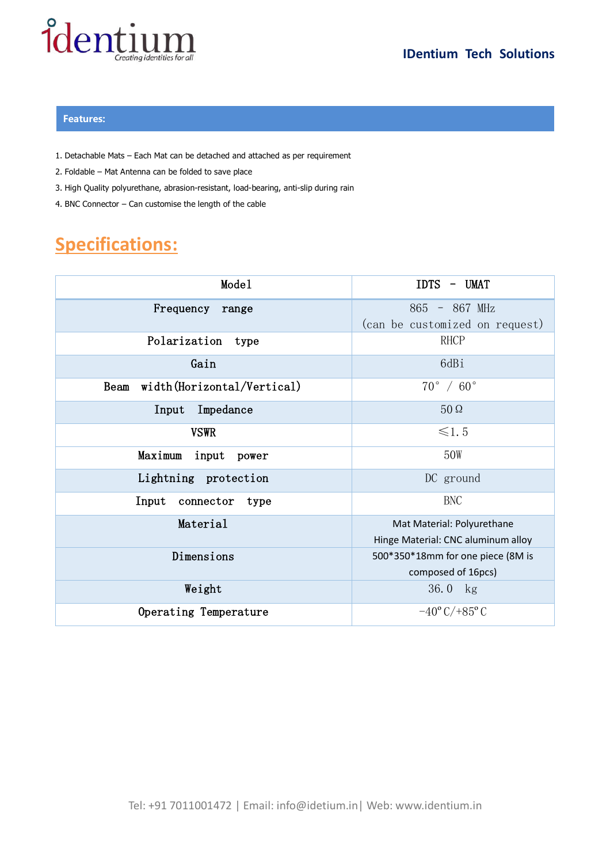

## **Features:**

- 1. Detachable Mats Each Mat can be detached and attached as per requirement
- 2. Foldable Mat Antenna can be folded to save place
- 3. High Quality polyurethane, abrasion-resistant, load-bearing, anti-slip during rain
- 4. BNC Connector Can customise the length of the cable

## **Specifications:**

| Mode1                               | <b>IDTS</b><br>UMAT<br>$\overline{\phantom{a}}$ |
|-------------------------------------|-------------------------------------------------|
| Frequency<br>range                  | 865 - 867 MHz                                   |
|                                     | (can be customized on request)                  |
| Polarization<br>type                | RHCP                                            |
| Gain                                | 6dBi                                            |
| width (Horizontal/Vertical)<br>Beam | $70^{\circ}$ / $60^{\circ}$                     |
| Impedance<br>Input                  | $50\,\Omega$                                    |
| <b>VSWR</b>                         | $\leq 1.5$                                      |
| Maximum<br>input<br>power           | 50W                                             |
| Lightning protection                | DC ground                                       |
| Input<br>connector<br>type          | BNC                                             |
| Material                            | Mat Material: Polyurethane                      |
|                                     | Hinge Material: CNC aluminum alloy              |
| Dimensions                          | 500*350*18mm for one piece (8M is               |
|                                     | composed of 16pcs)                              |
| Weight                              | 36.0 kg                                         |
| Operating Temperature               | $-40^{\circ}$ C/+85 $^{\circ}$ C                |